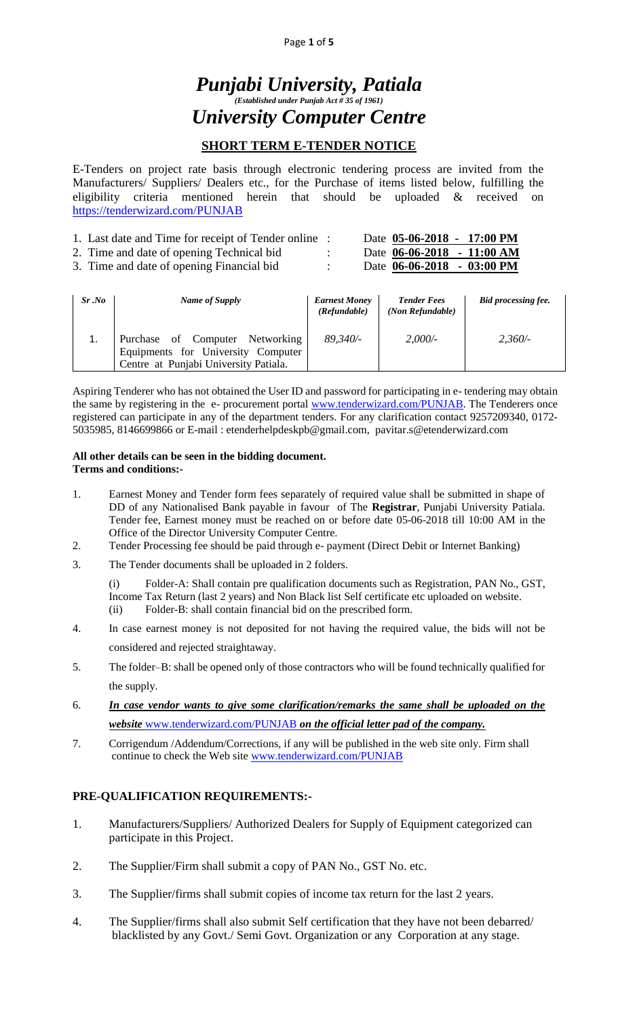Page **1** of **5**

# *Punjabi University, Patiala (Established under Punjab Act # 35 of 1961) University Computer Centre*

## **SHORT TERM E-TENDER NOTICE**

E-Tenders on project rate basis through electronic tendering process are invited from the Manufacturers/ Suppliers/ Dealers etc., for the Purchase of items listed below, fulfilling the eligibility criteria mentioned herein that should be uploaded & received on <https://tenderwizard.com/PUNJAB>

| 1. Last date and Time for receipt of Tender online : | Date 05-06-2018 - 17:00 PM           |  |
|------------------------------------------------------|--------------------------------------|--|
| 2. Time and date of opening Technical bid.           | Date 06-06-2018 - 11:00 AM           |  |
| 3. Time and date of opening Financial bid            | Date $06-06-2018 - 03:00 \text{ PM}$ |  |

| Sr.No | Name of Supply                                                                                                 | <b>Earnest Money</b><br>(Refundable) | <b>Tender Fees</b><br>(Non Refundable) | <b>Bid processing fee.</b> |
|-------|----------------------------------------------------------------------------------------------------------------|--------------------------------------|----------------------------------------|----------------------------|
|       | Purchase of Computer Networking<br>Equipments for University Computer<br>Centre at Punjabi University Patiala. | 89,340/-                             | 2,000/                                 | $2.360/-$                  |

Aspiring Tenderer who has not obtained the User ID and password for participating in e- tendering may obtain the same by registering in the e- procurement portal [www.tenderwizard.com/PUNJAB.](http://www.tenderwizard.com/PUNJAB) The Tenderers once registered can participate in any of the department tenders. For any clarification contact 9257209340, 0172- 5035985, 8146699866 or E-mail : etenderhelpdeskp[b@gmail.com,](mailto:@gmail.com) [pavitar.s@etenderwizard.com](mailto:pavitar.s@etenderwizard.com)

#### **All other details can be seen in the bidding document. Terms and conditions:-**

- 1. Earnest Money and Tender form fees separately of required value shall be submitted in shape of DD of any Nationalised Bank payable in favour of The **Registrar**, Punjabi University Patiala. Tender fee, Earnest money must be reached on or before date 05-06-2018 till 10:00 AM in the Office of the Director University Computer Centre.
- 2. Tender Processing fee should be paid through e- payment (Direct Debit or Internet Banking)
- 3. The Tender documents shall be uploaded in 2 folders.

(i) Folder-A: Shall contain pre qualification documents such as Registration, PAN No., GST, Income Tax Return (last 2 years) and Non Black list Self certificate etc uploaded on website. (ii) Folder-B: shall contain financial bid on the prescribed form.

- 4. In case earnest money is not deposited for not having the required value, the bids will not be considered and rejected straightaway.
- 5. The folder–B: shall be opened only of those contractors who will be found technically qualified for the supply.
- 6. *In case vendor wants to give some clarification/remarks the same shall be uploaded on the website* [www.tenderwizard.com/PUNJAB](http://www.tenderwizard.com/PUNJAB) *on the official letter pad of the company.*
- 7. Corrigendum /Addendum/Corrections, if any will be published in the web site only. Firm shall continue to check the Web site [www.tenderwizard.com/PUNJAB](http://www.tenderwizard.com/PUNJAB)

### **PRE-QUALIFICATION REQUIREMENTS:-**

- 1. Manufacturers/Suppliers/ Authorized Dealers for Supply of Equipment categorized can participate in this Project.
- 2. The Supplier/Firm shall submit a copy of PAN No., GST No. etc.
- 3. The Supplier/firms shall submit copies of income tax return for the last 2 years.
- 4. The Supplier/firms shall also submit Self certification that they have not been debarred/ blacklisted by any Govt./ Semi Govt. Organization or any Corporation at any stage.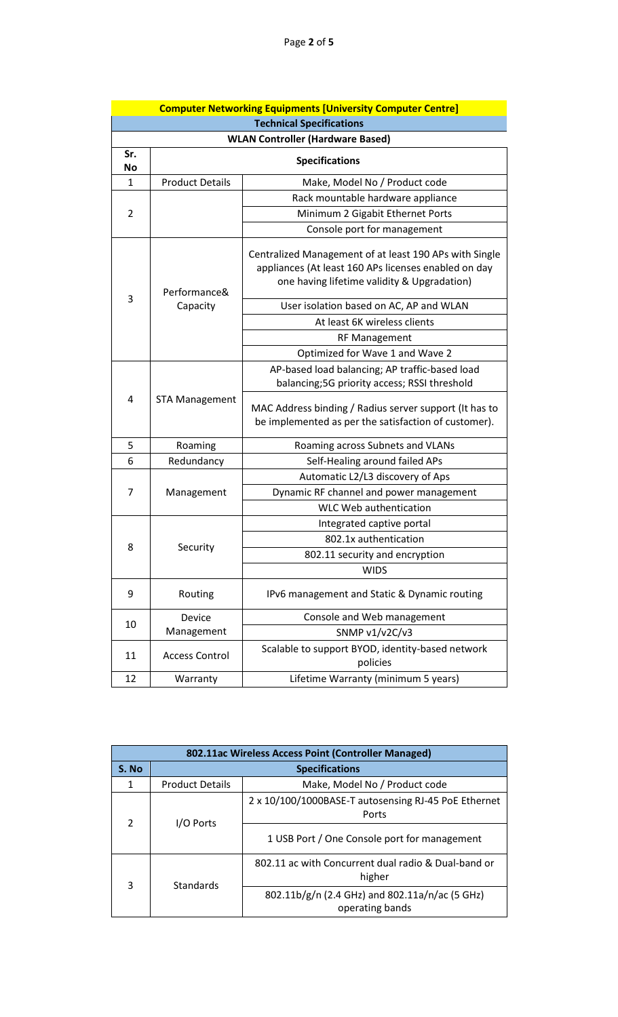|                                 |                                         | <b>Computer Networking Equipments [University Computer Centre]</b>                                                                                            |  |  |  |
|---------------------------------|-----------------------------------------|---------------------------------------------------------------------------------------------------------------------------------------------------------------|--|--|--|
| <b>Technical Specifications</b> |                                         |                                                                                                                                                               |  |  |  |
|                                 | <b>WLAN Controller (Hardware Based)</b> |                                                                                                                                                               |  |  |  |
| Sr.<br>No                       |                                         | <b>Specifications</b>                                                                                                                                         |  |  |  |
| $\mathbf{1}$                    | <b>Product Details</b>                  | Make, Model No / Product code                                                                                                                                 |  |  |  |
|                                 |                                         | Rack mountable hardware appliance                                                                                                                             |  |  |  |
| 2                               |                                         | Minimum 2 Gigabit Ethernet Ports                                                                                                                              |  |  |  |
|                                 |                                         | Console port for management                                                                                                                                   |  |  |  |
| 3                               | Performance&                            | Centralized Management of at least 190 APs with Single<br>appliances (At least 160 APs licenses enabled on day<br>one having lifetime validity & Upgradation) |  |  |  |
|                                 | Capacity                                | User isolation based on AC, AP and WLAN                                                                                                                       |  |  |  |
|                                 |                                         | At least 6K wireless clients                                                                                                                                  |  |  |  |
|                                 |                                         | RF Management                                                                                                                                                 |  |  |  |
|                                 |                                         | Optimized for Wave 1 and Wave 2                                                                                                                               |  |  |  |
|                                 | <b>STA Management</b>                   | AP-based load balancing; AP traffic-based load<br>balancing;5G priority access; RSSI threshold                                                                |  |  |  |
| 4                               |                                         | MAC Address binding / Radius server support (It has to<br>be implemented as per the satisfaction of customer).                                                |  |  |  |
| 5                               | Roaming                                 | Roaming across Subnets and VLANs                                                                                                                              |  |  |  |
| 6                               | Redundancy                              | Self-Healing around failed APs                                                                                                                                |  |  |  |
|                                 | Management                              | Automatic L2/L3 discovery of Aps                                                                                                                              |  |  |  |
| 7                               |                                         | Dynamic RF channel and power management                                                                                                                       |  |  |  |
|                                 |                                         | WLC Web authentication                                                                                                                                        |  |  |  |
|                                 | Security                                | Integrated captive portal                                                                                                                                     |  |  |  |
| 8                               |                                         | 802.1x authentication                                                                                                                                         |  |  |  |
|                                 |                                         | 802.11 security and encryption                                                                                                                                |  |  |  |
|                                 |                                         | <b>WIDS</b>                                                                                                                                                   |  |  |  |
| 9                               | Routing                                 | IPv6 management and Static & Dynamic routing                                                                                                                  |  |  |  |
|                                 | Device                                  | Console and Web management                                                                                                                                    |  |  |  |
| 10                              | Management                              | SNMP v1/v2C/v3                                                                                                                                                |  |  |  |
| 11                              | <b>Access Control</b>                   | Scalable to support BYOD, identity-based network<br>policies                                                                                                  |  |  |  |
| 12                              | Warranty                                | Lifetime Warranty (minimum 5 years)                                                                                                                           |  |  |  |

| 802.11ac Wireless Access Point (Controller Managed) |                        |                                                                   |  |
|-----------------------------------------------------|------------------------|-------------------------------------------------------------------|--|
| S. No                                               | <b>Specifications</b>  |                                                                   |  |
| 1                                                   | <b>Product Details</b> | Make, Model No / Product code                                     |  |
|                                                     | I/O Ports              | 2 x 10/100/1000BASE-T autosensing RJ-45 PoE Ethernet<br>Ports     |  |
| $\mathcal{P}$                                       |                        | 1 USB Port / One Console port for management                      |  |
| 3                                                   | <b>Standards</b>       | 802.11 ac with Concurrent dual radio & Dual-band or<br>higher     |  |
|                                                     |                        | 802.11b/g/n (2.4 GHz) and 802.11a/n/ac (5 GHz)<br>operating bands |  |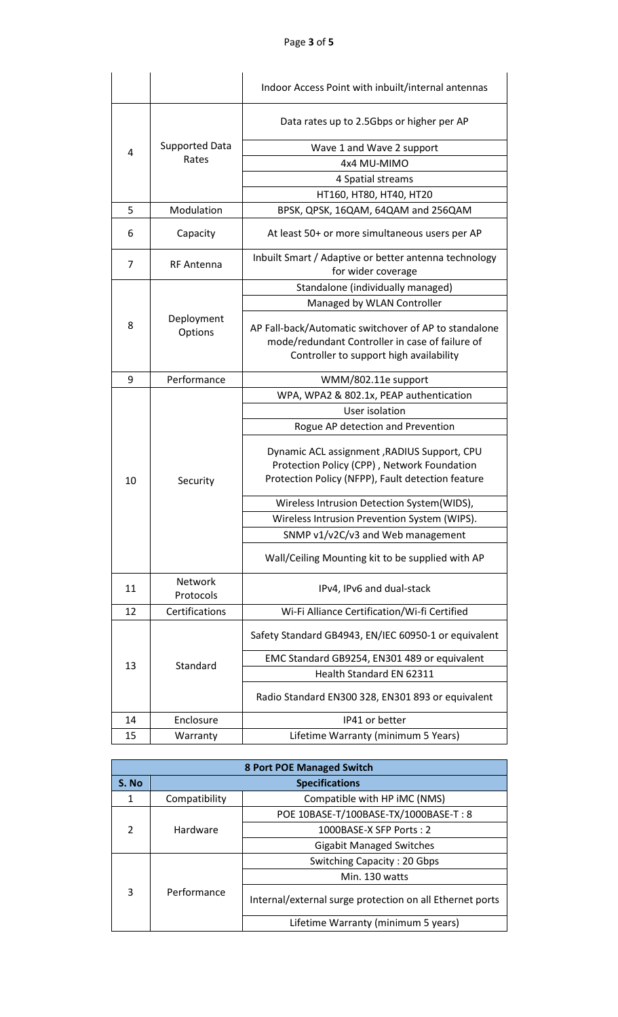Page **3** of **5**

|                |                       | Indoor Access Point with inbuilt/internal antennas                                                                                                  |  |  |
|----------------|-----------------------|-----------------------------------------------------------------------------------------------------------------------------------------------------|--|--|
|                |                       | Data rates up to 2.5Gbps or higher per AP                                                                                                           |  |  |
| 4              | <b>Supported Data</b> | Wave 1 and Wave 2 support                                                                                                                           |  |  |
|                | Rates                 | 4x4 MU-MIMO                                                                                                                                         |  |  |
|                |                       | 4 Spatial streams                                                                                                                                   |  |  |
|                |                       | HT160, HT80, HT40, HT20                                                                                                                             |  |  |
| 5              | Modulation            | BPSK, QPSK, 16QAM, 64QAM and 256QAM                                                                                                                 |  |  |
| 6              | Capacity              | At least 50+ or more simultaneous users per AP                                                                                                      |  |  |
| $\overline{7}$ | RF Antenna            | Inbuilt Smart / Adaptive or better antenna technology<br>for wider coverage                                                                         |  |  |
|                |                       | Standalone (individually managed)                                                                                                                   |  |  |
|                |                       | Managed by WLAN Controller                                                                                                                          |  |  |
| 8              | Deployment<br>Options | AP Fall-back/Automatic switchover of AP to standalone<br>mode/redundant Controller in case of failure of<br>Controller to support high availability |  |  |
| 9              | Performance           | WMM/802.11e support                                                                                                                                 |  |  |
|                |                       | WPA, WPA2 & 802.1x, PEAP authentication                                                                                                             |  |  |
|                |                       | User isolation                                                                                                                                      |  |  |
|                |                       | Rogue AP detection and Prevention                                                                                                                   |  |  |
| 10             | Security              | Dynamic ACL assignment, RADIUS Support, CPU<br>Protection Policy (CPP), Network Foundation<br>Protection Policy (NFPP), Fault detection feature     |  |  |
|                |                       | Wireless Intrusion Detection System(WIDS),                                                                                                          |  |  |
|                |                       | Wireless Intrusion Prevention System (WIPS).                                                                                                        |  |  |
|                |                       | SNMP v1/v2C/v3 and Web management                                                                                                                   |  |  |
|                |                       | Wall/Ceiling Mounting kit to be supplied with AP                                                                                                    |  |  |
| 11             | Network<br>Protocols  | IPv4, IPv6 and dual-stack                                                                                                                           |  |  |
| 12             | Certifications        | Wi-Fi Alliance Certification/Wi-fi Certified                                                                                                        |  |  |
|                | Standard              | Safety Standard GB4943, EN/IEC 60950-1 or equivalent                                                                                                |  |  |
|                |                       | EMC Standard GB9254, EN301 489 or equivalent                                                                                                        |  |  |
| 13             |                       | Health Standard EN 62311                                                                                                                            |  |  |
|                |                       | Radio Standard EN300 328, EN301 893 or equivalent                                                                                                   |  |  |
| 14             | Enclosure             | IP41 or better                                                                                                                                      |  |  |
| 15             | Warranty              | Lifetime Warranty (minimum 5 Years)                                                                                                                 |  |  |

| <b>8 Port POE Managed Switch</b> |                       |                                                          |  |
|----------------------------------|-----------------------|----------------------------------------------------------|--|
| S. No                            | <b>Specifications</b> |                                                          |  |
| 1                                | Compatibility         | Compatible with HP iMC (NMS)                             |  |
|                                  | Hardware              | POE 10BASE-T/100BASE-TX/1000BASE-T: 8                    |  |
| 2                                |                       | 1000BASE-X SFP Ports: 2                                  |  |
|                                  |                       | <b>Gigabit Managed Switches</b>                          |  |
|                                  |                       | Switching Capacity: 20 Gbps                              |  |
|                                  |                       | Min. 130 watts                                           |  |
| 3                                | Performance           | Internal/external surge protection on all Ethernet ports |  |
|                                  |                       | Lifetime Warranty (minimum 5 years)                      |  |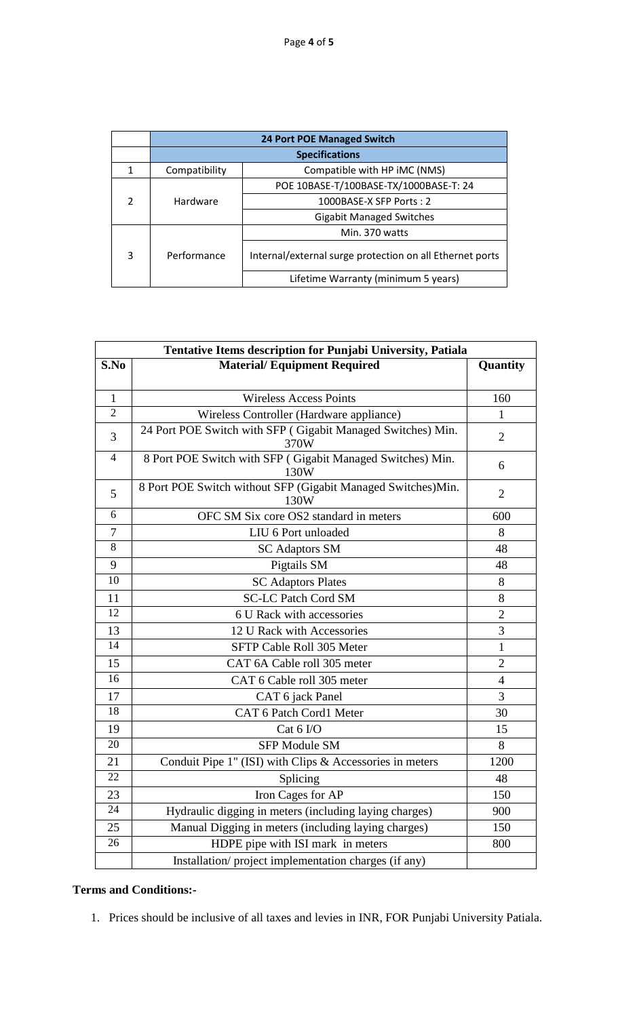|               | <b>24 Port POE Managed Switch</b> |                                                          |  |
|---------------|-----------------------------------|----------------------------------------------------------|--|
|               | <b>Specifications</b>             |                                                          |  |
| 1             | Compatibility                     | Compatible with HP iMC (NMS)                             |  |
|               | Hardware                          | POE 10BASE-T/100BASE-TX/1000BASE-T: 24                   |  |
| $\mathcal{P}$ |                                   | 1000BASE-X SFP Ports: 2                                  |  |
|               |                                   | <b>Gigabit Managed Switches</b>                          |  |
|               |                                   | Min. 370 watts                                           |  |
| 3             | Performance                       | Internal/external surge protection on all Ethernet ports |  |
|               |                                   | Lifetime Warranty (minimum 5 years)                      |  |

| <b>Tentative Items description for Punjabi University, Patiala</b> |                                                                      |                |  |  |
|--------------------------------------------------------------------|----------------------------------------------------------------------|----------------|--|--|
| S.No                                                               | <b>Material/Equipment Required</b>                                   | Quantity       |  |  |
|                                                                    |                                                                      |                |  |  |
| $\mathbf{1}$                                                       | <b>Wireless Access Points</b>                                        | 160            |  |  |
| $\overline{2}$                                                     | Wireless Controller (Hardware appliance)                             | $\mathbf{1}$   |  |  |
| 3                                                                  | 24 Port POE Switch with SFP (Gigabit Managed Switches) Min.<br>370W  | $\overline{2}$ |  |  |
| $\overline{4}$                                                     | 8 Port POE Switch with SFP (Gigabit Managed Switches) Min.<br>130W   | 6              |  |  |
| 5                                                                  | 8 Port POE Switch without SFP (Gigabit Managed Switches)Min.<br>130W | $\overline{2}$ |  |  |
| 6                                                                  | OFC SM Six core OS2 standard in meters                               | 600            |  |  |
| $\overline{7}$                                                     | LIU 6 Port unloaded                                                  | 8              |  |  |
| $\overline{8}$                                                     | <b>SC Adaptors SM</b>                                                | 48             |  |  |
| 9                                                                  | Pigtails SM                                                          | 48             |  |  |
| 10                                                                 | <b>SC Adaptors Plates</b>                                            | 8              |  |  |
| 11                                                                 | <b>SC-LC Patch Cord SM</b>                                           | 8              |  |  |
| $\overline{12}$                                                    | 6 U Rack with accessories                                            | $\overline{2}$ |  |  |
| 13                                                                 | 12 U Rack with Accessories                                           | 3              |  |  |
| 14                                                                 | SFTP Cable Roll 305 Meter                                            | $\mathbf{1}$   |  |  |
| 15                                                                 | CAT 6A Cable roll 305 meter                                          | $\overline{2}$ |  |  |
| 16                                                                 | CAT 6 Cable roll 305 meter                                           | $\overline{4}$ |  |  |
| 17                                                                 | CAT 6 jack Panel                                                     | 3              |  |  |
| 18                                                                 | CAT 6 Patch Cord1 Meter                                              | 30             |  |  |
| 19                                                                 | Cat 6 I/O                                                            | 15             |  |  |
| 20                                                                 | <b>SFP Module SM</b>                                                 | 8              |  |  |
| 21                                                                 | Conduit Pipe 1" (ISI) with Clips & Accessories in meters             | 1200           |  |  |
| 22                                                                 | Splicing                                                             | 48             |  |  |
| 23                                                                 | Iron Cages for AP                                                    | 150            |  |  |
| 24                                                                 | Hydraulic digging in meters (including laying charges)               | 900            |  |  |
| 25                                                                 | Manual Digging in meters (including laying charges)                  | 150            |  |  |
| 26                                                                 | HDPE pipe with ISI mark in meters                                    | 800            |  |  |
|                                                                    | Installation/project implementation charges (if any)                 |                |  |  |

### **Terms and Conditions:-**

1. Prices should be inclusive of all taxes and levies in INR, FOR Punjabi University Patiala.